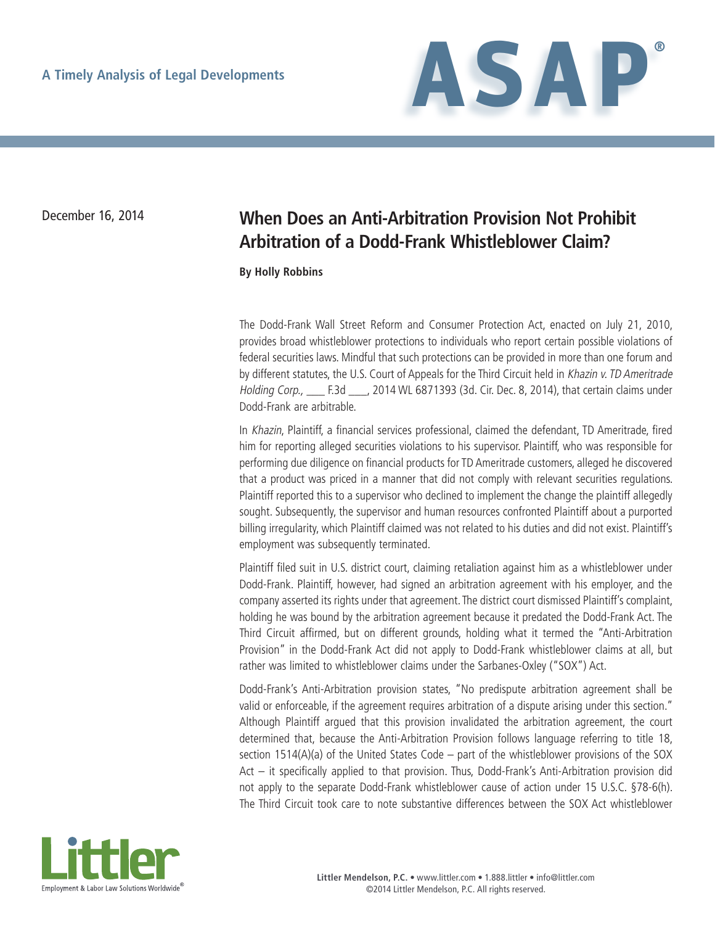

## December 16, 2014 **When Does an Anti-Arbitration Provision Not Prohibit Arbitration of a Dodd-Frank Whistleblower Claim?**

**By Holly Robbins**

The Dodd-Frank Wall Street Reform and Consumer Protection Act, enacted on July 21, 2010, provides broad whistleblower protections to individuals who report certain possible violations of federal securities laws. Mindful that such protections can be provided in more than one forum and by different statutes, the U.S. Court of Appeals for the Third Circuit held in Khazin v. TD Ameritrade Holding Corp., \_\_\_ F.3d \_\_\_, 2014 WL 6871393 (3d. Cir. Dec. 8, 2014), that certain claims under Dodd-Frank are arbitrable.

In Khazin, Plaintiff, a financial services professional, claimed the defendant, TD Ameritrade, fired him for reporting alleged securities violations to his supervisor. Plaintiff, who was responsible for performing due diligence on financial products for TD Ameritrade customers, alleged he discovered that a product was priced in a manner that did not comply with relevant securities regulations. Plaintiff reported this to a supervisor who declined to implement the change the plaintiff allegedly sought. Subsequently, the supervisor and human resources confronted Plaintiff about a purported billing irregularity, which Plaintiff claimed was not related to his duties and did not exist. Plaintiff's employment was subsequently terminated.

Plaintiff filed suit in U.S. district court, claiming retaliation against him as a whistleblower under Dodd-Frank. Plaintiff, however, had signed an arbitration agreement with his employer, and the company asserted its rights under that agreement. The district court dismissed Plaintiff's complaint, holding he was bound by the arbitration agreement because it predated the Dodd-Frank Act. The Third Circuit affirmed, but on different grounds, holding what it termed the "Anti-Arbitration Provision" in the Dodd-Frank Act did not apply to Dodd-Frank whistleblower claims at all, but rather was limited to whistleblower claims under the Sarbanes-Oxley ("SOX") Act.

Dodd-Frank's Anti-Arbitration provision states, "No predispute arbitration agreement shall be valid or enforceable, if the agreement requires arbitration of a dispute arising under this section." Although Plaintiff argued that this provision invalidated the arbitration agreement, the court determined that, because the Anti-Arbitration Provision follows language referring to title 18, section 1514(A)(a) of the United States Code – part of the whistleblower provisions of the SOX Act – it specifically applied to that provision. Thus, Dodd-Frank's Anti-Arbitration provision did not apply to the separate Dodd-Frank whistleblower cause of action under 15 U.S.C. §78-6(h). The Third Circuit took care to note substantive differences between the SOX Act whistleblower